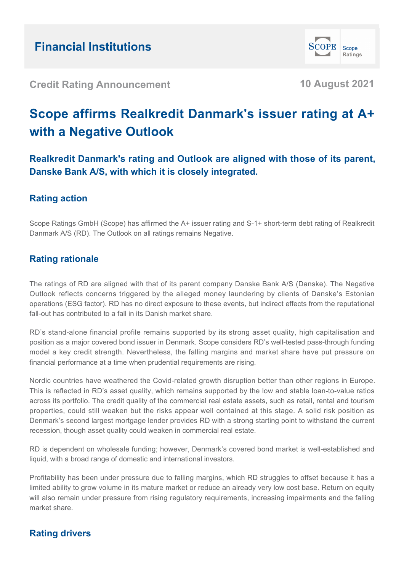

**Credit Rating Announcement 10 August 2021**

# **Scope affirms Realkredit Danmark's issuer rating at A+ with a Negative Outlook**

**Realkredit Danmark's rating and Outlook are aligned with those of its parent, Danske Bank A/S, with which it is closely integrated.**

# **Rating action**

Scope Ratings GmbH (Scope) has affirmed the A+ issuer rating and S-1+ short-term debt rating of Realkredit Danmark A/S (RD). The Outlook on all ratings remains Negative.

# **Rating rationale**

The ratings of RD are aligned with that of its parent company Danske Bank A/S (Danske). The Negative Outlook reflects concerns triggered by the alleged money laundering by clients of Danske's Estonian operations (ESG factor). RD has no direct exposure to these events, but indirect effects from the reputational fall-out has contributed to a fall in its Danish market share.

RD's stand-alone financial profile remains supported by its strong asset quality, high capitalisation and position as a major covered bond issuer in Denmark. Scope considers RD's well-tested pass-through funding model a key credit strength. Nevertheless, the falling margins and market share have put pressure on financial performance at a time when prudential requirements are rising.

Nordic countries have weathered the Covid-related growth disruption better than other regions in Europe. This is reflected in RD's asset quality, which remains supported by the low and stable loan-to-value ratios across its portfolio. The credit quality of the commercial real estate assets, such as retail, rental and tourism properties, could still weaken but the risks appear well contained at this stage. A solid risk position as Denmark's second largest mortgage lender provides RD with a strong starting point to withstand the current recession, though asset quality could weaken in commercial real estate.

RD is dependent on wholesale funding; however, Denmark's covered bond market is well-established and liquid, with a broad range of domestic and international investors.

Profitability has been under pressure due to falling margins, which RD struggles to offset because it has a limited ability to grow volume in its mature market or reduce an already very low cost base. Return on equity will also remain under pressure from rising regulatory requirements, increasing impairments and the falling market share.

# **Rating drivers**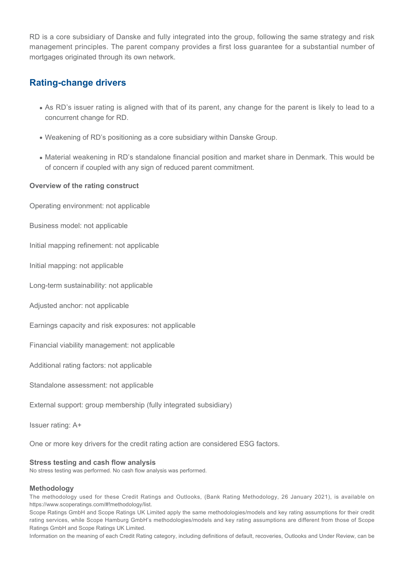RD is a core subsidiary of Danske and fully integrated into the group, following the same strategy and risk management principles. The parent company provides a first loss guarantee for a substantial number of mortgages originated through its own network.

### **Rating-change drivers**

- As RD's issuer rating is aligned with that of its parent, any change for the parent is likely to lead to a concurrent change for RD.
- Weakening of RD's positioning as a core subsidiary within Danske Group.
- $\bullet$  Material weakening in RD's standalone financial position and market share in Denmark. This would be of concern if coupled with any sign of reduced parent commitment.

#### **Overview of the rating construct**

Operating environment: not applicable

Business model: not applicable

Initial mapping refinement: not applicable

Initial mapping: not applicable

Long-term sustainability: not applicable

Adjusted anchor: not applicable

Earnings capacity and risk exposures: not applicable

Financial viability management: not applicable

Additional rating factors: not applicable

Standalone assessment: not applicable

External support: group membership (fully integrated subsidiary)

Issuer rating: A+

One or more key drivers for the credit rating action are considered ESG factors.

#### **Stress testing and cash flow analysis**

No stress testing was performed. No cash flow analysis was performed.

#### **Methodology**

The methodology used for these Credit Ratings and Outlooks, (Bank Rating Methodology, 26 January 2021), is available on https://www.scoperatings.com/#!methodology/list.

Scope Ratings GmbH and Scope Ratings UK Limited apply the same methodologies/models and key rating assumptions for their credit rating services, while Scope Hamburg GmbH's methodologies/models and key rating assumptions are different from those of Scope Ratings GmbH and Scope Ratings UK Limited.

Information on the meaning of each Credit Rating category, including definitions of default, recoveries, Outlooks and Under Review, can be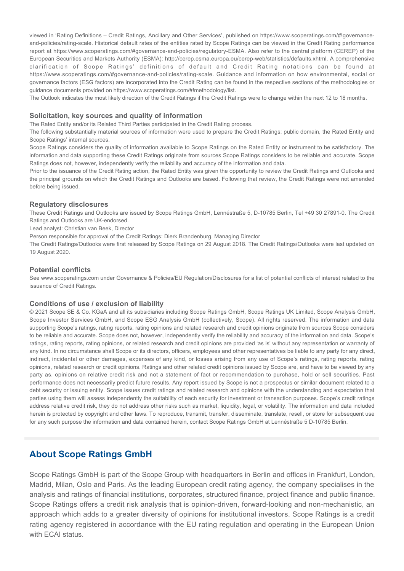viewed in 'Rating Definitions – Credit Ratings, Ancillary and Other Services', published on https://www.scoperatings.com/#!governanceand-policies/rating-scale. Historical default rates of the entities rated by Scope Ratings can be viewed in the Credit Rating performance report at https://www.scoperatings.com/#governance-and-policies/regulatory-ESMA. Also refer to the central platform (CEREP) of the European Securities and Markets Authority (ESMA): http://cerep.esma.europa.eu/cerep-web/statistics/defaults.xhtml. A comprehensive clarification of Scope Ratings' definitions of default and Credit Rating notations can be found at https://www.scoperatings.com/#governance-and-policies/rating-scale. Guidance and information on how environmental, social or governance factors (ESG factors) are incorporated into the Credit Rating can be found in the respective sections of the methodologies or guidance documents provided on https://www.scoperatings.com/#!methodology/list.

The Outlook indicates the most likely direction of the Credit Ratings if the Credit Ratings were to change within the next 12 to 18 months.

#### **Solicitation, key sources and quality of information**

The Rated Entity and/or its Related Third Parties participated in the Credit Rating process.

The following substantially material sources of information were used to prepare the Credit Ratings: public domain, the Rated Entity and Scope Ratings' internal sources.

Scope Ratings considers the quality of information available to Scope Ratings on the Rated Entity or instrument to be satisfactory. The information and data supporting these Credit Ratings originate from sources Scope Ratings considers to be reliable and accurate. Scope Ratings does not, however, independently verify the reliability and accuracy of the information and data.

Prior to the issuance of the Credit Rating action, the Rated Entity was given the opportunity to review the Credit Ratings and Outlooks and the principal grounds on which the Credit Ratings and Outlooks are based. Following that review, the Credit Ratings were not amended before being issued.

#### **Regulatory disclosures**

These Credit Ratings and Outlooks are issued by Scope Ratings GmbH, Lennéstraße 5, D-10785 Berlin, Tel +49 30 27891-0. The Credit Ratings and Outlooks are UK-endorsed.

Lead analyst: Christian van Beek, Director

Person responsible for approval of the Credit Ratings: Dierk Brandenburg, Managing Director

The Credit Ratings/Outlooks were first released by Scope Ratings on 29 August 2018. The Credit Ratings/Outlooks were last updated on 19 August 2020.

#### **Potential conflicts**

See www.scoperatings.com under Governance & Policies/EU Regulation/Disclosures for a list of potential conflicts of interest related to the issuance of Credit Ratings.

#### **Conditions of use / exclusion of liability**

© 2021 Scope SE & Co. KGaA and all its subsidiaries including Scope Ratings GmbH, Scope Ratings UK Limited, Scope Analysis GmbH, Scope Investor Services GmbH, and Scope ESG Analysis GmbH (collectively, Scope). All rights reserved. The information and data supporting Scope's ratings, rating reports, rating opinions and related research and credit opinions originate from sources Scope considers to be reliable and accurate. Scope does not, however, independently verify the reliability and accuracy of the information and data. Scope's ratings, rating reports, rating opinions, or related research and credit opinions are provided 'as is' without any representation or warranty of any kind. In no circumstance shall Scope or its directors, officers, employees and other representatives be liable to any party for any direct, indirect, incidental or other damages, expenses of any kind, or losses arising from any use of Scope's ratings, rating reports, rating opinions, related research or credit opinions. Ratings and other related credit opinions issued by Scope are, and have to be viewed by any party as, opinions on relative credit risk and not a statement of fact or recommendation to purchase, hold or sell securities. Past performance does not necessarily predict future results. Any report issued by Scope is not a prospectus or similar document related to a debt security or issuing entity. Scope issues credit ratings and related research and opinions with the understanding and expectation that parties using them will assess independently the suitability of each security for investment or transaction purposes. Scope's credit ratings address relative credit risk, they do not address other risks such as market, liquidity, legal, or volatility. The information and data included herein is protected by copyright and other laws. To reproduce, transmit, transfer, disseminate, translate, resell, or store for subsequent use for any such purpose the information and data contained herein, contact Scope Ratings GmbH at Lennéstraße 5 D-10785 Berlin.

### **About Scope Ratings GmbH**

Scope Ratings GmbH is part of the Scope Group with headquarters in Berlin and offices in Frankfurt, London, Madrid, Milan, Oslo and Paris. As the leading European credit rating agency, the company specialises in the analysis and ratings of financial institutions, corporates, structured finance, project finance and public finance. Scope Ratings offers a credit risk analysis that is opinion-driven, forward-looking and non-mechanistic, an approach which adds to a greater diversity of opinions for institutional investors. Scope Ratings is a credit rating agency registered in accordance with the EU rating regulation and operating in the European Union with ECAI status.